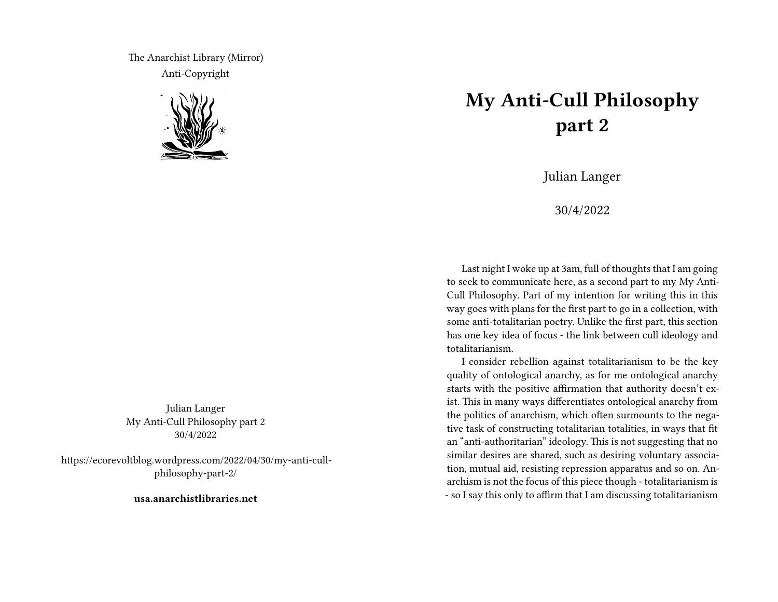The Anarchist Library (Mirror) Anti-Copyright



Julian Langer My Anti-Cull Philosophy part 2 30/4/2022

https://ecorevoltblog.wordpress.com/2022/04/30/my-anti-cullphilosophy-part-2/

**usa.anarchistlibraries.net**

## **My Anti-Cull Philosophy part 2**

Julian Langer

30/4/2022

Last night I woke up at 3am, full of thoughts that I am going to seek to communicate here, as a second part to my My Anti-Cull Philosophy. Part of my intention for writing this in this way goes with plans for the first part to go in a collection, with some anti-totalitarian poetry. Unlike the first part, this section has one key idea of focus - the link between cull ideology and totalitarianism.

I consider rebellion against totalitarianism to be the key quality of ontological anarchy, as for me ontological anarchy starts with the positive affirmation that authority doesn't exist. This in many ways differentiates ontological anarchy from the politics of anarchism, which often surmounts to the negative task of constructing totalitarian totalities, in ways that fit an "anti-authoritarian" ideology. This is not suggesting that no similar desires are shared, such as desiring voluntary association, mutual aid, resisting repression apparatus and so on. Anarchism is not the focus of this piece though - totalitarianism is - so I say this only to affirm that I am discussing totalitarianism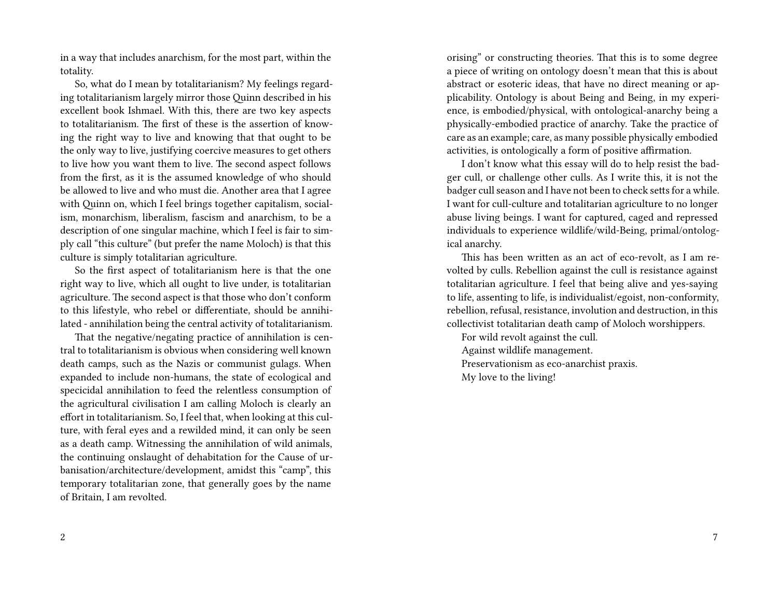in a way that includes anarchism, for the most part, within the totality.

So, what do I mean by totalitarianism? My feelings regarding totalitarianism largely mirror those Quinn described in his excellent book Ishmael. With this, there are two key aspects to totalitarianism. The first of these is the assertion of knowing the right way to live and knowing that that ought to be the only way to live, justifying coercive measures to get others to live how you want them to live. The second aspect follows from the first, as it is the assumed knowledge of who should be allowed to live and who must die. Another area that I agree with Quinn on, which I feel brings together capitalism, socialism, monarchism, liberalism, fascism and anarchism, to be a description of one singular machine, which I feel is fair to simply call "this culture" (but prefer the name Moloch) is that this culture is simply totalitarian agriculture.

So the first aspect of totalitarianism here is that the one right way to live, which all ought to live under, is totalitarian agriculture. The second aspect is that those who don't conform to this lifestyle, who rebel or differentiate, should be annihilated - annihilation being the central activity of totalitarianism.

That the negative/negating practice of annihilation is central to totalitarianism is obvious when considering well known death camps, such as the Nazis or communist gulags. When expanded to include non-humans, the state of ecological and specicidal annihilation to feed the relentless consumption of the agricultural civilisation I am calling Moloch is clearly an effort in totalitarianism. So, I feel that, when looking at this culture, with feral eyes and a rewilded mind, it can only be seen as a death camp. Witnessing the annihilation of wild animals, the continuing onslaught of dehabitation for the Cause of urbanisation/architecture/development, amidst this "camp", this temporary totalitarian zone, that generally goes by the name of Britain, I am revolted.

orising" or constructing theories. That this is to some degree a piece of writing on ontology doesn't mean that this is about abstract or esoteric ideas, that have no direct meaning or applicability. Ontology is about Being and Being, in my experience, is embodied/physical, with ontological-anarchy being a physically-embodied practice of anarchy. Take the practice of care as an example; care, as many possible physically embodied activities, is ontologically a form of positive affirmation.

I don't know what this essay will do to help resist the badger cull, or challenge other culls. As I write this, it is not the badger cull season and I have not been to check setts for a while. I want for cull-culture and totalitarian agriculture to no longer abuse living beings. I want for captured, caged and repressed individuals to experience wildlife/wild-Being, primal/ontological anarchy.

This has been written as an act of eco-revolt, as I am revolted by culls. Rebellion against the cull is resistance against totalitarian agriculture. I feel that being alive and yes-saying to life, assenting to life, is individualist/egoist, non-conformity, rebellion, refusal, resistance, involution and destruction, in this collectivist totalitarian death camp of Moloch worshippers.

For wild revolt against the cull. Against wildlife management. Preservationism as eco-anarchist praxis. My love to the living!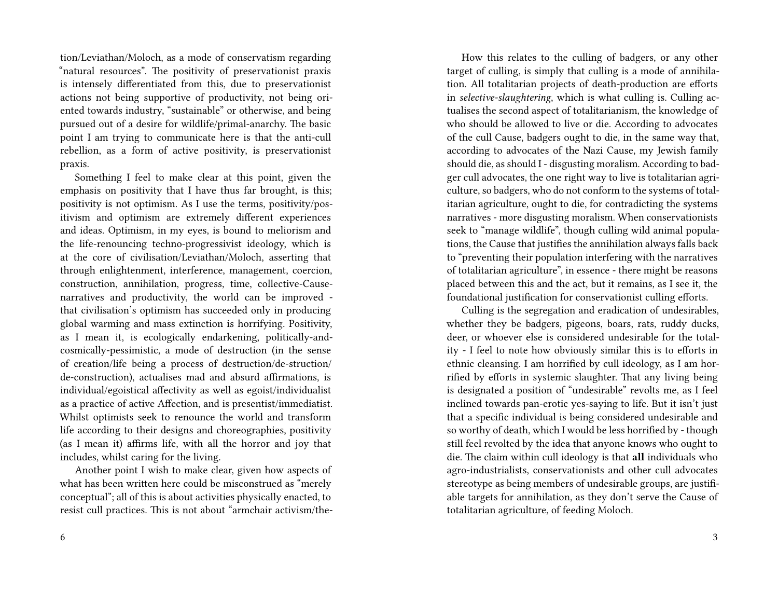tion/Leviathan/Moloch, as a mode of conservatism regarding "natural resources". The positivity of preservationist praxis is intensely differentiated from this, due to preservationist actions not being supportive of productivity, not being oriented towards industry, "sustainable" or otherwise, and being pursued out of a desire for wildlife/primal-anarchy. The basic point I am trying to communicate here is that the anti-cull rebellion, as a form of active positivity, is preservationist praxis.

Something I feel to make clear at this point, given the emphasis on positivity that I have thus far brought, is this; positivity is not optimism. As I use the terms, positivity/positivism and optimism are extremely different experiences and ideas. Optimism, in my eyes, is bound to meliorism and the life-renouncing techno-progressivist ideology, which is at the core of civilisation/Leviathan/Moloch, asserting that through enlightenment, interference, management, coercion, construction, annihilation, progress, time, collective-Causenarratives and productivity, the world can be improved that civilisation's optimism has succeeded only in producing global warming and mass extinction is horrifying. Positivity, as I mean it, is ecologically endarkening, politically-andcosmically-pessimistic, a mode of destruction (in the sense of creation/life being a process of destruction/de-struction/ de-construction), actualises mad and absurd affirmations, is individual/egoistical affectivity as well as egoist/individualist as a practice of active Affection, and is presentist/immediatist. Whilst optimists seek to renounce the world and transform life according to their designs and choreographies, positivity (as I mean it) affirms life, with all the horror and joy that includes, whilst caring for the living.

Another point I wish to make clear, given how aspects of what has been written here could be misconstrued as "merely conceptual"; all of this is about activities physically enacted, to resist cull practices. This is not about "armchair activism/the-

How this relates to the culling of badgers, or any other target of culling, is simply that culling is a mode of annihilation. All totalitarian projects of death-production are efforts in *selective-slaughtering*, which is what culling is. Culling actualises the second aspect of totalitarianism, the knowledge of who should be allowed to live or die. According to advocates of the cull Cause, badgers ought to die, in the same way that, according to advocates of the Nazi Cause, my Jewish family should die, as should I - disgusting moralism. According to badger cull advocates, the one right way to live is totalitarian agriculture, so badgers, who do not conform to the systems of totalitarian agriculture, ought to die, for contradicting the systems narratives - more disgusting moralism. When conservationists seek to "manage wildlife", though culling wild animal populations, the Cause that justifies the annihilation always falls back to "preventing their population interfering with the narratives of totalitarian agriculture", in essence - there might be reasons placed between this and the act, but it remains, as I see it, the foundational justification for conservationist culling efforts.

Culling is the segregation and eradication of undesirables, whether they be badgers, pigeons, boars, rats, ruddy ducks, deer, or whoever else is considered undesirable for the totality - I feel to note how obviously similar this is to efforts in ethnic cleansing. I am horrified by cull ideology, as I am horrified by efforts in systemic slaughter. That any living being is designated a position of "undesirable" revolts me, as I feel inclined towards pan-erotic yes-saying to life. But it isn't just that a specific individual is being considered undesirable and so worthy of death, which I would be less horrified by - though still feel revolted by the idea that anyone knows who ought to die. The claim within cull ideology is that **all** individuals who agro-industrialists, conservationists and other cull advocates stereotype as being members of undesirable groups, are justifiable targets for annihilation, as they don't serve the Cause of totalitarian agriculture, of feeding Moloch.